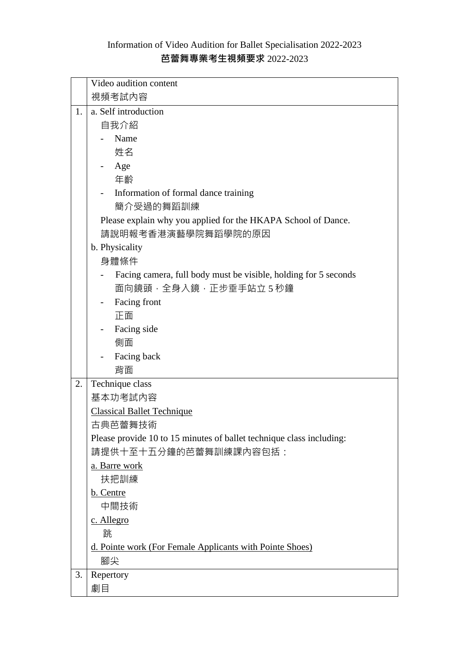## Information of Video Audition for Ballet Specialisation 2022-2023 **芭蕾舞專業考生視頻要求** 2022-2023

|    | Video audition content                                               |
|----|----------------------------------------------------------------------|
|    | 視頻考試內容                                                               |
| 1. | a. Self introduction                                                 |
|    | 自我介紹                                                                 |
|    | Name                                                                 |
|    | 姓名                                                                   |
|    | Age                                                                  |
|    | 年齡                                                                   |
|    | Information of formal dance training                                 |
|    | 簡介受過的舞蹈訓練                                                            |
|    | Please explain why you applied for the HKAPA School of Dance.        |
|    | 請說明報考香港演藝學院舞蹈學院的原因                                                   |
|    | b. Physicality                                                       |
|    | 身體條件                                                                 |
|    | Facing camera, full body must be visible, holding for 5 seconds      |
|    | 面向鏡頭,全身入鏡,正步垂手站立5秒鐘                                                  |
|    | Facing front                                                         |
|    | 正面                                                                   |
|    | Facing side                                                          |
|    | 側面                                                                   |
|    | Facing back                                                          |
|    | 背面                                                                   |
| 2. | Technique class                                                      |
|    | 基本功考試内容                                                              |
|    | <b>Classical Ballet Technique</b>                                    |
|    | 古典芭蕾舞技術                                                              |
|    | Please provide 10 to 15 minutes of ballet technique class including: |
|    | 請提供十至十五分鐘的芭蕾舞訓練課內容包括:                                                |
|    | a. Barre work                                                        |
|    | 扶把訓練                                                                 |
|    | b. Centre                                                            |
|    | 中間技術                                                                 |
|    | c. Allegro                                                           |
|    | 跳                                                                    |
|    | d. Pointe work (For Female Applicants with Pointe Shoes)             |
|    | 腳尖                                                                   |
| 3. | Repertory                                                            |
|    | 劇目                                                                   |